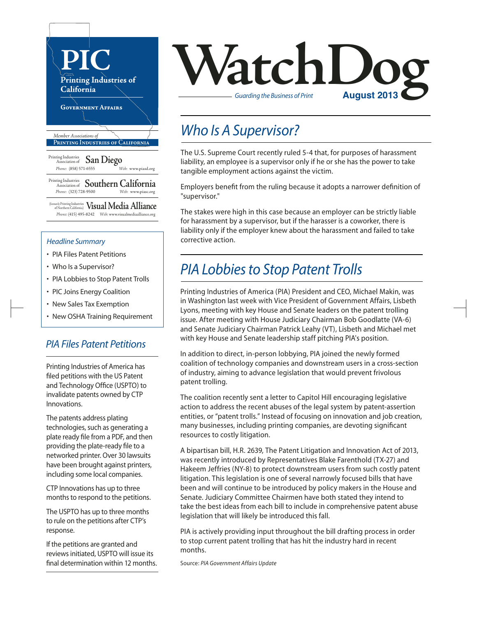

#### *Headline Summary*

- PIA Files Patent Petitions
- Who Is a Supervisor?
- PIA Lobbies to Stop Patent Trolls
- PIC Joins Energy Coalition
- New Sales Tax Exemption
- New OSHA Training Requirement

#### *PIA Files Patent Petitions*

Printing Industries of America has filed petitions with the US Patent and Technology Office (USPTO) to invalidate patents owned by CTP Innovations.

The patents address plating technologies, such as generating a plate ready file from a PDF, and then providing the plate-ready file to a networked printer. Over 30 lawsuits have been brought against printers, including some local companies.

CTP Innovations has up to three months to respond to the petitions.

The USPTO has up to three months to rule on the petitions after CTP's response.

If the petitions are granted and reviews initiated, USPTO will issue its final determination within 12 months.



### *Who Is A Supervisor?*

The U.S. Supreme Court recently ruled 5-4 that, for purposes of harassment liability, an employee is a supervisor only if he or she has the power to take tangible employment actions against the victim.

Employers benefit from the ruling because it adopts a narrower definition of "supervisor."

The stakes were high in this case because an employer can be strictly liable for harassment by a supervisor, but if the harasser is a coworker, there is liability only if the employer knew about the harassment and failed to take corrective action.

## *PIA Lobbies to Stop Patent Trolls*

Printing Industries of America (PIA) President and CEO, Michael Makin, was in Washington last week with Vice President of Government Affairs, Lisbeth Lyons, meeting with key House and Senate leaders on the patent trolling issue. After meeting with House Judiciary Chairman Bob Goodlatte (VA-6) and Senate Judiciary Chairman Patrick Leahy (VT), Lisbeth and Michael met with key House and Senate leadership staff pitching PIA's position.

In addition to direct, in-person lobbying, PIA joined the newly formed coalition of technology companies and downstream users in a cross-section of industry, aiming to advance legislation that would prevent frivolous patent trolling.

The coalition recently sent a letter to Capitol Hill encouraging legislative action to address the recent abuses of the legal system by patent-assertion entities, or "patent trolls." Instead of focusing on innovation and job creation, many businesses, including printing companies, are devoting significant resources to costly litigation.

A bipartisan bill, H.R. 2639, The Patent Litigation and Innovation Act of 2013, was recently introduced by Representatives Blake Farenthold (TX-27) and Hakeem Jeffries (NY-8) to protect downstream users from such costly patent litigation. This legislation is one of several narrowly focused bills that have been and will continue to be introduced by policy makers in the House and Senate. Judiciary Committee Chairmen have both stated they intend to take the best ideas from each bill to include in comprehensive patent abuse legislation that will likely be introduced this fall.

PIA is actively providing input throughout the bill drafting process in order to stop current patent trolling that has hit the industry hard in recent months.

Source: *PIA Government Affairs Update*